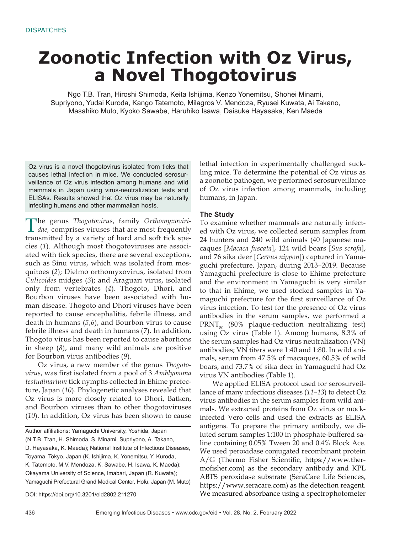# **Zoonotic Infection with Oz Virus, a Novel Thogotovirus**

Ngo T.B. Tran, Hiroshi Shimoda, Keita Ishijima, Kenzo Yonemitsu, Shohei Minami, Supriyono, Yudai Kuroda, Kango Tatemoto, Milagros V. Mendoza, Ryusei Kuwata, Ai Takano, Masahiko Muto, Kyoko Sawabe, Haruhiko Isawa, Daisuke Hayasaka, Ken Maeda

Oz virus is a novel thogotovirus isolated from ticks that causes lethal infection in mice. We conducted serosurveillance of Oz virus infection among humans and wild mammals in Japan using virus-neutralization tests and ELISAs. Results showed that Oz virus may be naturally infecting humans and other mammalian hosts.

The genus *Thogotovirus*, family *Orthomyxoviri-dae,* comprises viruses that are most frequently transmitted by a variety of hard and soft tick species (*1*). Although most thogotoviruses are associated with tick species, there are several exceptions, such as Sinu virus, which was isolated from mosquitoes (*2*); Dielmo orthomyxovirus, isolated from *Culicoides* midges (*3*); and Araguari virus, isolated only from vertebrates (*4*). Thogoto, Dhori, and Bourbon viruses have been associated with human disease. Thogoto and Dhori viruses have been reported to cause encephalitis, febrile illness, and death in humans (*5*,*6*), and Bourbon virus to cause febrile illness and death in humans (*7*). In addition, Thogoto virus has been reported to cause abortions in sheep (*8*), and many wild animals are positive for Bourbon virus antibodies (*9*).

Oz virus, a new member of the genus *Thogotovirus*, was first isolated from a pool of 3 *Amblyomma testudinarium* tick nymphs collected in Ehime prefecture, Japan (*10*). Phylogenetic analyses revealed that Oz virus is more closely related to Dhori, Batken, and Bourbon viruses than to other thogotoviruses (*10*). In addition, Oz virus has been shown to cause

Author affiliations: Yamaguchi University, Yoshida, Japan (N.T.B. Tran, H. Shimoda, S. Minami, Supriyono, A. Takano, D. Hayasaka, K. Maeda); National Institute of Infectious Diseases, Toyama, Tokyo, Japan (K. Ishijima, K. Yonemitsu, Y. Kuroda, K. Tatemoto, M.V. Mendoza, K. Sawabe, H. Isawa, K. Maeda); Okayama University of Science, Imabari, Japan (R. Kuwata); Yamaguchi Prefectural Grand Medical Center, Hofu, Japan (M. Muto)

DOI: https://doi.org/10.3201/eid2802.211270

lethal infection in experimentally challenged suckling mice. To determine the potential of Oz virus as a zoonotic pathogen, we performed serosurveillance of Oz virus infection among mammals, including humans, in Japan.

## **The Study**

To examine whether mammals are naturally infected with Oz virus, we collected serum samples from 24 hunters and 240 wild animals (40 Japanese macaques [*Macaca fuscata*], 124 wild boars [*Sus scrofa*], and 76 sika deer [*Cervus nippon*]) captured in Yamaguchi prefecture, Japan, during 2013–2019. Because Yamaguchi prefecture is close to Ehime prefecture and the environment in Yamaguchi is very similar to that in Ehime, we used stocked samples in Yamaguchi prefecture for the first surveillance of Oz virus infection. To test for the presence of Oz virus antibodies in the serum samples, we performed a  $PRNT<sub>90</sub>$  (80% plaque-reduction neutralizing test) using Oz virus (Table 1). Among humans, 8.3% of the serum samples had Oz virus neutralization (VN) antibodies; VN titers were 1:40 and 1:80. In wild animals, serum from 47.5% of macaques, 60.5% of wild boars, and 73.7% of sika deer in Yamaguchi had Oz virus VN antibodies (Table 1).

We applied ELISA protocol used for serosurveillance of many infectious diseases (*11*–*13*) to detect Oz virus antibodies in the serum samples from wild animals. We extracted proteins from Oz virus or mockinfected Vero cells and used the extracts as ELISA antigens. To prepare the primary antibody, we diluted serum samples 1:100 in phosphate-buffered saline containing 0.05% Tween 20 and 0.4% Block Ace. We used peroxidase conjugated recombinant protein  $A/G$  (Thermo Fisher Scientific, https://www.thermofisher.com) as the secondary antibody and KPL ABTS peroxidase substrate (SeraCare Life Sciences, https://www.seracare.com) as the detection reagent. We measured absorbance using a spectrophotometer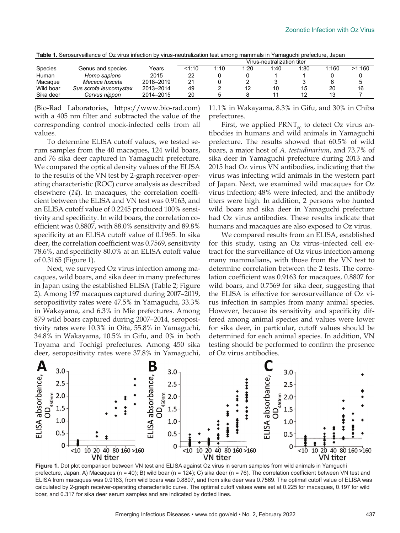|                |                        |           | Virus-neutralization titer |      |      |      |      |       |        |  |
|----------------|------------------------|-----------|----------------------------|------|------|------|------|-------|--------|--|
| <b>Species</b> | Genus and species      | Years     | <1∙10                      | 1:10 | 1:20 | 1:40 | 1:80 | 1:160 | >1:160 |  |
| Human          | Homo sapiens           | 2015      | 22                         |      |      |      |      |       |        |  |
| Macaque        | Macaca fuscata         | 2018-2019 | 21                         |      |      |      |      |       |        |  |
| Wild boar      | Sus scrofa leucomystax | 2013-2014 | 49                         |      |      | 10   | 15   | 20    | 16     |  |
| Sika deer      | Cervus nippon          | 2014-2015 | 20                         |      |      |      |      |       |        |  |

**Table 1.** Serosurveillance of Oz virus infection by virus-neutralization test among mammals in Yamaguchi prefecture, Japan

(Bio-Rad Laboratories, https://www.bio-rad.com) with a 405 nm filter and subtracted the value of the corresponding control mock-infected cells from all values.

To determine ELISA cutoff values, we tested serum samples from the 40 macaques, 124 wild boars, and 76 sika deer captured in Yamaguchi prefecture. We compared the optical density values of the ELISA to the results of the VN test by 2-graph receiver-operating characteristic (ROC) curve analysis as described elsewhere (*14*). In macaques, the correlation coefficient between the ELISA and VN test was 0.9163, and an ELISA cutoff value of 0.2245 produced 100% sensitivity and specificity. In wild boars, the correlation coefficient was 0.8807, with 88.0% sensitivity and 89.8% specificity at an ELISA cutoff value of 0.1965. In sika deer, the correlation coefficient was 0.7569, sensitivity 78.6%, and specificity 80.0% at an ELISA cutoff value of 0.3165 (Figure 1).

Next, we surveyed Oz virus infection among macaques, wild boars, and sika deer in many prefectures in Japan using the established ELISA (Table 2; Figure 2). Among 197 macaques captured during 2007–2019, seropositivity rates were 47.5% in Yamaguchi, 33.3% in Wakayama, and 6.3% in Mie prefectures. Among 879 wild boars captured during 2007–2014, seropositivity rates were 10.3% in Oita, 55.8% in Yamaguchi, 34.8% in Wakayama, 10.5% in Gifu, and 0% in both Toyama and Tochigi prefectures. Among 450 sika deer, seropositivity rates were 37.8% in Yamaguchi,

11.1% in Wakayama, 8.3% in Gifu, and 30% in Chiba prefectures.

First, we applied  $\text{PRNT}_{\text{so}}$  to detect Oz virus antibodies in humans and wild animals in Yamaguchi prefecture. The results showed that 60.5% of wild boars, a major host of *A. testudinarium*, and 73.7% of sika deer in Yamaguchi prefecture during 2013 and 2015 had Oz virus VN antibodies, indicating that the virus was infecting wild animals in the western part of Japan. Next, we examined wild macaques for Oz virus infection; 48% were infected, and the antibody titers were high. In addition, 2 persons who hunted wild boars and sika deer in Yamaguchi prefecture had Oz virus antibodies. These results indicate that humans and macaques are also exposed to Oz virus.

We compared results from an ELISA, established for this study, using an Oz virus–infected cell extract for the surveillance of Oz virus infection among many mammalians, with those from the VN test to determine correlation between the 2 tests. The correlation coefficient was 0.9163 for macaques, 0.8807 for wild boars, and 0.7569 for sika deer, suggesting that the ELISA is effective for serosurveillance of Oz virus infection in samples from many animal species. However, because its sensitivity and specificity differed among animal species and values were lower for sika deer, in particular, cutoff values should be determined for each animal species. In addition, VN testing should be performed to confirm the presence of Oz virus antibodies.



**Figure 1.** Dot plot comparison between VN test and ELISA against Oz virus in serum samples from wild animals in Yamguchi prefecture, Japan. A) Macaques (n = 40); B) wild boar (n = 124); C) sika deer (n = 76). The correlation coefficient between VN test and ELISA from macaques was 0.9163, from wild boars was 0.8807, and from sika deer was 0.7569. The optimal cutoff value of ELISA was calculated by 2-graph receiver-operating characteristic curve. The optimal cutoff values were set at 0.225 for macaques, 0.197 for wild boar, and 0.317 for sika deer serum samples and are indicated by dotted lines.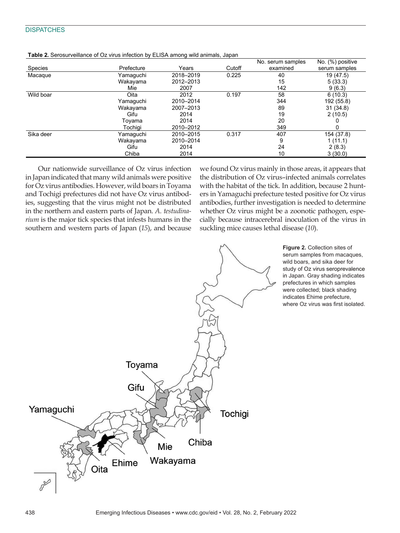## **DISPATCHES**

|           |            |           |        | No. serum samples | No. (%) positive |
|-----------|------------|-----------|--------|-------------------|------------------|
| Species   | Prefecture | Years     | Cutoff | examined          | serum samples    |
| Macaque   | Yamaguchi  | 2018-2019 | 0.225  | 40                | 19 (47.5)        |
|           | Wakayama   | 2012-2013 |        | 15                | 5(33.3)          |
|           | Mie        | 2007      |        | 142               | 9(6.3)           |
| Wild boar | Oita       | 2012      | 0.197  | 58                | 6(10.3)          |
|           | Yamaquchi  | 2010-2014 |        | 344               | 192 (55.8)       |
|           | Wakayama   | 2007-2013 |        | 89                | 31(34.8)         |
|           | Gifu       | 2014      |        | 19                | 2(10.5)          |
|           | Tovama     | 2014      |        | 20                |                  |
|           | Tochiai    | 2010-2012 |        | 349               |                  |
| Sika deer | Yamaguchi  | 2010-2015 | 0.317  | 407               | 154 (37.8)       |
|           | Wakayama   | 2010-2014 |        | 9                 | 1(11.1)          |
|           | Gifu       | 2014      |        | 24                | 2(8.3)           |
|           | Chiba      | 2014      |        | 10                | 3(30.0)          |

| <b>Table 2.</b> Serosurveillance of Oz virus infection by ELISA among wild animals, Japan |  |  |  |
|-------------------------------------------------------------------------------------------|--|--|--|
|                                                                                           |  |  |  |

Our nationwide surveillance of Oz virus infection in Japan indicated that many wild animals were positive for Oz virus antibodies. However, wild boars in Toyama and Tochigi prefectures did not have Oz virus antibodies, suggesting that the virus might not be distributed in the northern and eastern parts of Japan. *A. testudinarium* is the major tick species that infests humans in the southern and western parts of Japan (*15*), and because we found Oz virus mainly in those areas, it appears that the distribution of Oz virus–infected animals correlates with the habitat of the tick. In addition, because 2 hunters in Yamaguchi prefecture tested positive for Oz virus antibodies, further investigation is needed to determine whether Oz virus might be a zoonotic pathogen, especially because intracerebral inoculation of the virus in suckling mice causes lethal disease (*10*).



**Figure 2.** Collection sites of serum samples from macaques, wild boars, and sika deer for study of Oz virus seroprevalence in Japan. Gray shading indicates prefectures in which samples were collected; black shading indicates Ehime prefecture, where Oz virus was first isolated.